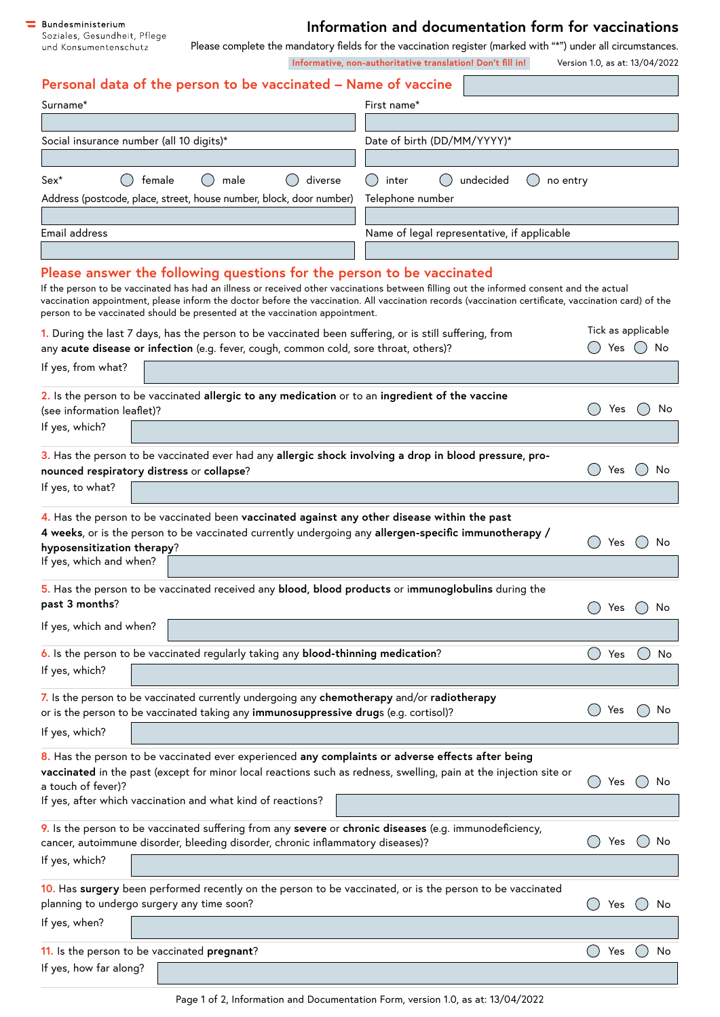## **Information and documentation form for vaccinations**

 $\overline{\phantom{0}}$ 

Please complete the mandatory fields for the vaccination register (marked with "\*") under all circumstances. **Informative, non-authoritative translation! Don't fill in!** Version 1.0, as at: 13/04/2022

| Personal data of the person to be vaccinated – Name of vaccine                                                                                                                                                                                                                                                                                                                                                                                                                                                                                                                                            |                                                                                             |    |  |  |  |  |
|-----------------------------------------------------------------------------------------------------------------------------------------------------------------------------------------------------------------------------------------------------------------------------------------------------------------------------------------------------------------------------------------------------------------------------------------------------------------------------------------------------------------------------------------------------------------------------------------------------------|---------------------------------------------------------------------------------------------|----|--|--|--|--|
| Surname*                                                                                                                                                                                                                                                                                                                                                                                                                                                                                                                                                                                                  | First name*                                                                                 |    |  |  |  |  |
|                                                                                                                                                                                                                                                                                                                                                                                                                                                                                                                                                                                                           |                                                                                             |    |  |  |  |  |
| Social insurance number (all 10 digits)*                                                                                                                                                                                                                                                                                                                                                                                                                                                                                                                                                                  | Date of birth (DD/MM/YYYY)*                                                                 |    |  |  |  |  |
| Sex*<br>female<br>male<br>diverse<br>Address (postcode, place, street, house number, block, door number)                                                                                                                                                                                                                                                                                                                                                                                                                                                                                                  | undecided<br>inter<br>no entry<br>$\begin{pmatrix} 1 & 1 \end{pmatrix}$<br>Telephone number |    |  |  |  |  |
| Email address                                                                                                                                                                                                                                                                                                                                                                                                                                                                                                                                                                                             | Name of legal representative, if applicable                                                 |    |  |  |  |  |
|                                                                                                                                                                                                                                                                                                                                                                                                                                                                                                                                                                                                           |                                                                                             |    |  |  |  |  |
| Please answer the following questions for the person to be vaccinated<br>If the person to be vaccinated has had an illness or received other vaccinations between filling out the informed consent and the actual<br>vaccination appointment, please inform the doctor before the vaccination. All vaccination records (vaccination certificate, vaccination card) of the<br>person to be vaccinated should be presented at the vaccination appointment.<br>Tick as applicable<br>1. During the last 7 days, has the person to be vaccinated been suffering, or is still suffering, from<br>Yes ( )<br>No |                                                                                             |    |  |  |  |  |
| any acute disease or infection (e.g. fever, cough, common cold, sore throat, others)?<br>If yes, from what?                                                                                                                                                                                                                                                                                                                                                                                                                                                                                               |                                                                                             |    |  |  |  |  |
| 2. Is the person to be vaccinated allergic to any medication or to an ingredient of the vaccine<br>(see information leaflet)?<br>If yes, which?                                                                                                                                                                                                                                                                                                                                                                                                                                                           | Yes                                                                                         | No |  |  |  |  |
|                                                                                                                                                                                                                                                                                                                                                                                                                                                                                                                                                                                                           |                                                                                             |    |  |  |  |  |
| 3. Has the person to be vaccinated ever had any allergic shock involving a drop in blood pressure, pro-<br>nounced respiratory distress or collapse?<br>If yes, to what?                                                                                                                                                                                                                                                                                                                                                                                                                                  | Yes                                                                                         | No |  |  |  |  |
| 4. Has the person to be vaccinated been vaccinated against any other disease within the past<br>4 weeks, or is the person to be vaccinated currently undergoing any allergen-specific immunotherapy /<br>hyposensitization therapy?<br>If yes, which and when?                                                                                                                                                                                                                                                                                                                                            | Yes                                                                                         | No |  |  |  |  |
| 5. Has the person to be vaccinated received any blood, blood products or immunoglobulins during the<br>past 3 months?<br>Yes<br>No                                                                                                                                                                                                                                                                                                                                                                                                                                                                        |                                                                                             |    |  |  |  |  |
| If yes, which and when?                                                                                                                                                                                                                                                                                                                                                                                                                                                                                                                                                                                   |                                                                                             |    |  |  |  |  |
| 6. Is the person to be vaccinated regularly taking any blood-thinning medication?                                                                                                                                                                                                                                                                                                                                                                                                                                                                                                                         | Yes                                                                                         | No |  |  |  |  |
| If yes, which?                                                                                                                                                                                                                                                                                                                                                                                                                                                                                                                                                                                            |                                                                                             |    |  |  |  |  |
| 7. Is the person to be vaccinated currently undergoing any chemotherapy and/or radiotherapy<br>or is the person to be vaccinated taking any immunosuppressive drugs (e.g. cortisol)?<br>If yes, which?                                                                                                                                                                                                                                                                                                                                                                                                    | Yes                                                                                         | No |  |  |  |  |
| 8. Has the person to be vaccinated ever experienced any complaints or adverse effects after being<br>vaccinated in the past (except for minor local reactions such as redness, swelling, pain at the injection site or<br>a touch of fever)?<br>If yes, after which vaccination and what kind of reactions?                                                                                                                                                                                                                                                                                               | Yes                                                                                         | No |  |  |  |  |
| 9. Is the person to be vaccinated suffering from any severe or chronic diseases (e.g. immunodeficiency,<br>cancer, autoimmune disorder, bleeding disorder, chronic inflammatory diseases)?<br>If yes, which?                                                                                                                                                                                                                                                                                                                                                                                              | Yes                                                                                         | No |  |  |  |  |
| 10. Has surgery been performed recently on the person to be vaccinated, or is the person to be vaccinated<br>planning to undergo surgery any time soon?                                                                                                                                                                                                                                                                                                                                                                                                                                                   | Yes                                                                                         | No |  |  |  |  |
| If yes, when?                                                                                                                                                                                                                                                                                                                                                                                                                                                                                                                                                                                             |                                                                                             |    |  |  |  |  |
| 11. Is the person to be vaccinated pregnant?                                                                                                                                                                                                                                                                                                                                                                                                                                                                                                                                                              | $($ )<br>Yes                                                                                | No |  |  |  |  |
| If yes, how far along?                                                                                                                                                                                                                                                                                                                                                                                                                                                                                                                                                                                    |                                                                                             |    |  |  |  |  |